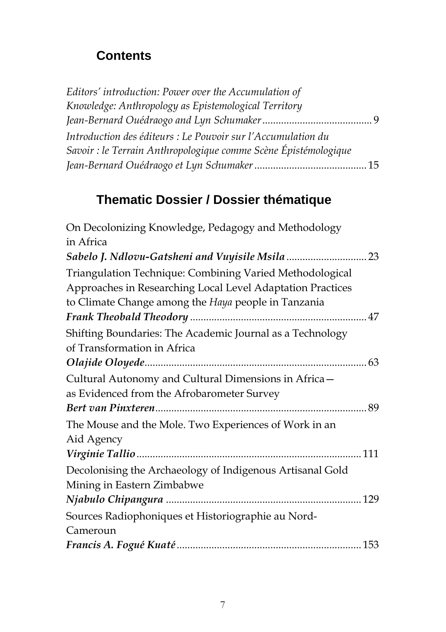## **Contents**

| Editors' introduction: Power over the Accumulation of           |  |
|-----------------------------------------------------------------|--|
| Knowledge: Anthropology as Epistemological Territory            |  |
|                                                                 |  |
| Introduction des éditeurs : Le Pouvoir sur l'Accumulation du    |  |
| Savoir : le Terrain Anthropologique comme Scène Épistémologique |  |
|                                                                 |  |

## **Thematic Dossier / Dossier thématique**

| On Decolonizing Knowledge, Pedagogy and Methodology                                                                                                                           |  |
|-------------------------------------------------------------------------------------------------------------------------------------------------------------------------------|--|
| in Africa                                                                                                                                                                     |  |
|                                                                                                                                                                               |  |
| Triangulation Technique: Combining Varied Methodological<br>Approaches in Researching Local Level Adaptation Practices<br>to Climate Change among the Haya people in Tanzania |  |
|                                                                                                                                                                               |  |
| Shifting Boundaries: The Academic Journal as a Technology<br>of Transformation in Africa                                                                                      |  |
|                                                                                                                                                                               |  |
| Cultural Autonomy and Cultural Dimensions in Africa-                                                                                                                          |  |
| as Evidenced from the Afrobarometer Survey                                                                                                                                    |  |
|                                                                                                                                                                               |  |
| The Mouse and the Mole. Two Experiences of Work in an<br>Aid Agency                                                                                                           |  |
|                                                                                                                                                                               |  |
| Decolonising the Archaeology of Indigenous Artisanal Gold                                                                                                                     |  |
| Mining in Eastern Zimbabwe                                                                                                                                                    |  |
|                                                                                                                                                                               |  |
| Sources Radiophoniques et Historiographie au Nord-                                                                                                                            |  |
| Cameroun                                                                                                                                                                      |  |
|                                                                                                                                                                               |  |